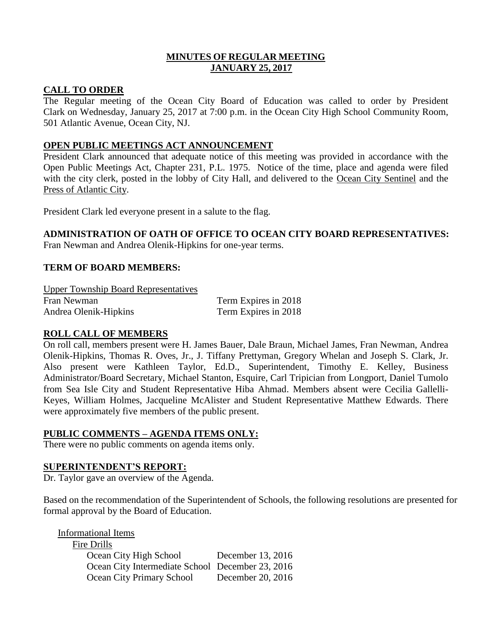## **MINUTES OF REGULAR MEETING JANUARY 25, 2017**

## **CALL TO ORDER**

The Regular meeting of the Ocean City Board of Education was called to order by President Clark on Wednesday, January 25, 2017 at 7:00 p.m. in the Ocean City High School Community Room, 501 Atlantic Avenue, Ocean City, NJ.

## **OPEN PUBLIC MEETINGS ACT ANNOUNCEMENT**

President Clark announced that adequate notice of this meeting was provided in accordance with the Open Public Meetings Act, Chapter 231, P.L. 1975. Notice of the time, place and agenda were filed with the city clerk, posted in the lobby of City Hall, and delivered to the Ocean City Sentinel and the Press of Atlantic City.

President Clark led everyone present in a salute to the flag.

# **ADMINISTRATION OF OATH OF OFFICE TO OCEAN CITY BOARD REPRESENTATIVES:**

Fran Newman and Andrea Olenik-Hipkins for one-year terms.

# **TERM OF BOARD MEMBERS:**

Upper Township Board Representatives Fran Newman Term Expires in 2018 Andrea Olenik-Hipkins Term Expires in 2018

# **ROLL CALL OF MEMBERS**

On roll call, members present were H. James Bauer, Dale Braun, Michael James, Fran Newman, Andrea Olenik-Hipkins, Thomas R. Oves, Jr., J. Tiffany Prettyman, Gregory Whelan and Joseph S. Clark, Jr. Also present were Kathleen Taylor, Ed.D., Superintendent, Timothy E. Kelley, Business Administrator/Board Secretary, Michael Stanton, Esquire, Carl Tripician from Longport, Daniel Tumolo from Sea Isle City and Student Representative Hiba Ahmad. Members absent were Cecilia Gallelli-Keyes, William Holmes, Jacqueline McAlister and Student Representative Matthew Edwards. There were approximately five members of the public present.

## **PUBLIC COMMENTS – AGENDA ITEMS ONLY:**

There were no public comments on agenda items only.

## **SUPERINTENDENT'S REPORT:**

Dr. Taylor gave an overview of the Agenda.

Based on the recommendation of the Superintendent of Schools, the following resolutions are presented for formal approval by the Board of Education.

| <b>Informational Items</b>                       |                   |
|--------------------------------------------------|-------------------|
| Fire Drills                                      |                   |
| Ocean City High School                           | December 13, 2016 |
| Ocean City Intermediate School December 23, 2016 |                   |
| Ocean City Primary School                        | December 20, 2016 |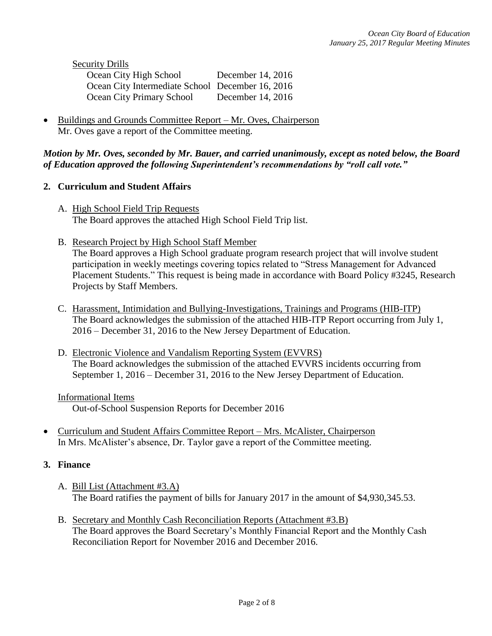Security Drills

| Ocean City High School                           | December 14, 2016 |
|--------------------------------------------------|-------------------|
| Ocean City Intermediate School December 16, 2016 |                   |
| Ocean City Primary School                        | December 14, 2016 |

• Buildings and Grounds Committee Report – Mr. Oves, Chairperson Mr. Oves gave a report of the Committee meeting.

# *Motion by Mr. Oves, seconded by Mr. Bauer, and carried unanimously, except as noted below, the Board of Education approved the following Superintendent's recommendations by "roll call vote."*

## **2. Curriculum and Student Affairs**

- A. High School Field Trip Requests The Board approves the attached High School Field Trip list.
- B. Research Project by High School Staff Member

The Board approves a High School graduate program research project that will involve student participation in weekly meetings covering topics related to "Stress Management for Advanced Placement Students." This request is being made in accordance with Board Policy #3245, Research Projects by Staff Members.

- C. Harassment, Intimidation and Bullying-Investigations, Trainings and Programs (HIB-ITP) The Board acknowledges the submission of the attached HIB-ITP Report occurring from July 1, 2016 – December 31, 2016 to the New Jersey Department of Education.
- D. Electronic Violence and Vandalism Reporting System (EVVRS) The Board acknowledges the submission of the attached EVVRS incidents occurring from September 1, 2016 – December 31, 2016 to the New Jersey Department of Education.

## Informational Items

Out-of-School Suspension Reports for December 2016

 Curriculum and Student Affairs Committee Report – Mrs. McAlister, Chairperson In Mrs. McAlister's absence, Dr. Taylor gave a report of the Committee meeting.

## **3. Finance**

- A. Bill List (Attachment #3.A) The Board ratifies the payment of bills for January 2017 in the amount of \$4,930,345.53.
- B. Secretary and Monthly Cash Reconciliation Reports (Attachment #3.B) The Board approves the Board Secretary's Monthly Financial Report and the Monthly Cash Reconciliation Report for November 2016 and December 2016.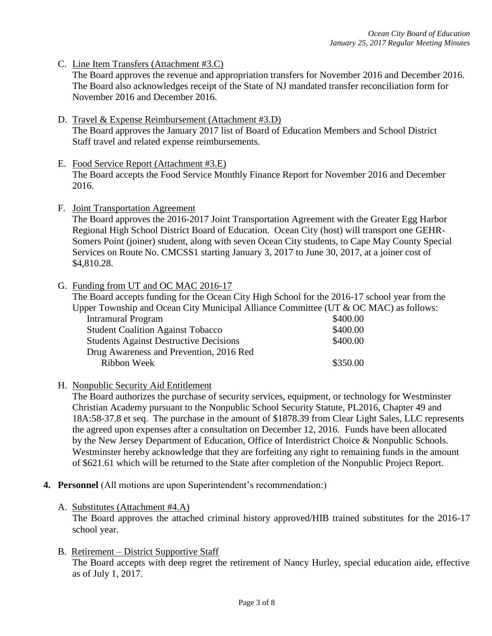C. Line Item Transfers (Attachment #3.C)

The Board approves the revenue and appropriation transfers for November 2016 and December 2016. The Board also acknowledges receipt of the State of NJ mandated transfer reconciliation form for November 2016 and December 2016.

- D. Travel & Expense Reimbursement (Attachment #3.D) The Board approves the January 2017 list of Board of Education Members and School District Staff travel and related expense reimbursements.
- E. Food Service Report (Attachment #3.E) The Board accepts the Food Service Monthly Finance Report for November 2016 and December 2016.
- F. Joint Transportation Agreement

The Board approves the 2016-2017 Joint Transportation Agreement with the Greater Egg Harbor Regional High School District Board of Education. Ocean City (host) will transport one GEHR-Somers Point (joiner) student, along with seven Ocean City students, to Cape May County Special Services on Route No. CMCSS1 starting January 3, 2017 to June 30, 2017, at a joiner cost of \$4,810.28.

G. Funding from UT and OC MAC 2016-17

The Board accepts funding for the Ocean City High School for the 2016-17 school year from the Upper Township and Ocean City Municipal Alliance Committee (UT & OC MAC) as follows:

| Intramural Program                            | \$400.00 |
|-----------------------------------------------|----------|
| <b>Student Coalition Against Tobacco</b>      | \$400.00 |
| <b>Students Against Destructive Decisions</b> | \$400.00 |
| Drug Awareness and Prevention, 2016 Red       |          |
| Ribbon Week                                   | \$350.00 |

H. Nonpublic Security Aid Entitlement

The Board authorizes the purchase of security services, equipment, or technology for Westminster Christian Academy pursuant to the Nonpublic School Security Statute, PL2016, Chapter 49 and 18A:58-37.8 et seq. The purchase in the amount of \$1878.39 from Clear Light Sales, LLC represents the agreed upon expenses after a consultation on December 12, 2016. Funds have been allocated by the New Jersey Department of Education, Office of Interdistrict Choice & Nonpublic Schools. Westminster hereby acknowledge that they are forfeiting any right to remaining funds in the amount of \$621.61 which will be returned to the State after completion of the Nonpublic Project Report.

- **4. Personnel** (All motions are upon Superintendent's recommendation:)
	- A. Substitutes (Attachment #4.A)

 The Board approves the attached criminal history approved/HIB trained substitutes for the 2016-17 school year.

B. Retirement – District Supportive Staff

The Board accepts with deep regret the retirement of Nancy Hurley, special education aide, effective as of July 1, 2017.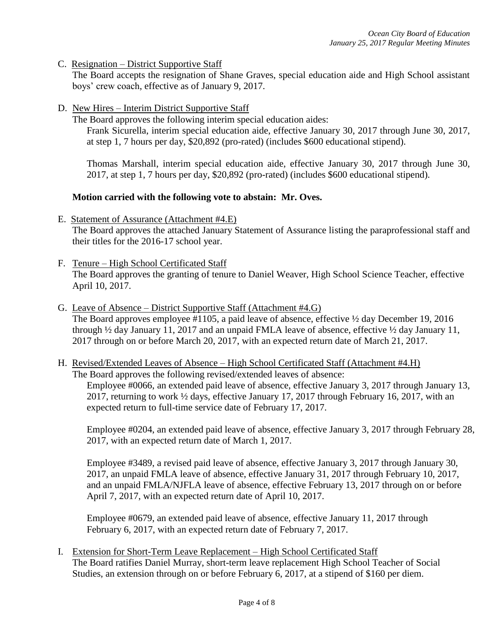C. Resignation – District Supportive Staff

The Board accepts the resignation of Shane Graves, special education aide and High School assistant boys' crew coach, effective as of January 9, 2017.

D. New Hires – Interim District Supportive Staff

The Board approves the following interim special education aides:

Frank Sicurella, interim special education aide, effective January 30, 2017 through June 30, 2017, at step 1, 7 hours per day, \$20,892 (pro-rated) (includes \$600 educational stipend).

Thomas Marshall, interim special education aide, effective January 30, 2017 through June 30, 2017, at step 1, 7 hours per day, \$20,892 (pro-rated) (includes \$600 educational stipend).

## **Motion carried with the following vote to abstain: Mr. Oves.**

- E. Statement of Assurance (Attachment #4.E) The Board approves the attached January Statement of Assurance listing the paraprofessional staff and their titles for the 2016-17 school year.
- F. Tenure High School Certificated Staff The Board approves the granting of tenure to Daniel Weaver, High School Science Teacher, effective April 10, 2017.
- G. Leave of Absence District Supportive Staff (Attachment #4.G) The Board approves employee #1105, a paid leave of absence, effective ½ day December 19, 2016 through ½ day January 11, 2017 and an unpaid FMLA leave of absence, effective ½ day January 11, 2017 through on or before March 20, 2017, with an expected return date of March 21, 2017.
- H. Revised/Extended Leaves of Absence High School Certificated Staff (Attachment #4.H) The Board approves the following revised/extended leaves of absence: Employee #0066, an extended paid leave of absence, effective January 3, 2017 through January 13,

2017, returning to work ½ days, effective January 17, 2017 through February 16, 2017, with an expected return to full-time service date of February 17, 2017.

Employee #0204, an extended paid leave of absence, effective January 3, 2017 through February 28, 2017, with an expected return date of March 1, 2017.

Employee #3489, a revised paid leave of absence, effective January 3, 2017 through January 30, 2017, an unpaid FMLA leave of absence, effective January 31, 2017 through February 10, 2017, and an unpaid FMLA/NJFLA leave of absence, effective February 13, 2017 through on or before April 7, 2017, with an expected return date of April 10, 2017.

Employee #0679, an extended paid leave of absence, effective January 11, 2017 through February 6, 2017, with an expected return date of February 7, 2017.

I. Extension for Short-Term Leave Replacement – High School Certificated Staff The Board ratifies Daniel Murray, short-term leave replacement High School Teacher of Social Studies, an extension through on or before February 6, 2017, at a stipend of \$160 per diem.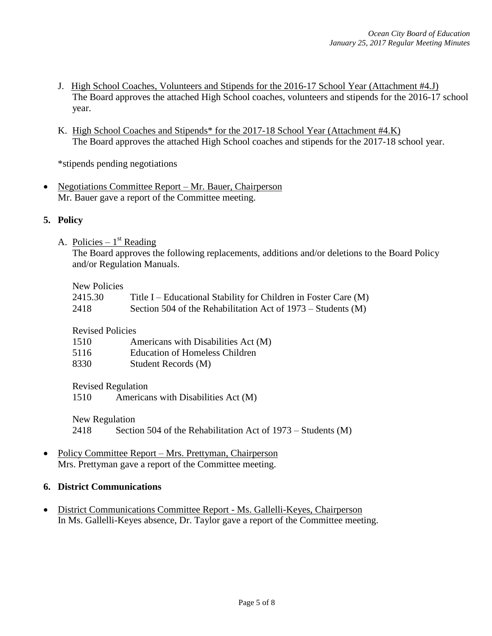- J. High School Coaches, Volunteers and Stipends for the 2016-17 School Year (Attachment #4.J) The Board approves the attached High School coaches, volunteers and stipends for the 2016-17 school year.
- K. High School Coaches and Stipends\* for the 2017-18 School Year (Attachment #4.K) The Board approves the attached High School coaches and stipends for the 2017-18 school year.

\*stipends pending negotiations

• Negotiations Committee Report – Mr. Bauer, Chairperson Mr. Bauer gave a report of the Committee meeting.

## **5. Policy**

A. Policies –  $1<sup>st</sup>$  Reading

The Board approves the following replacements, additions and/or deletions to the Board Policy and/or Regulation Manuals.

New Policies

| 2415.30 | Title I – Educational Stability for Children in Foster Care (M) |
|---------|-----------------------------------------------------------------|
| 2418    | Section 504 of the Rehabilitation Act of $1973 -$ Students (M)  |

## Revised Policies

| 1510 | Americans with Disabilities Act (M)   |
|------|---------------------------------------|
| 5116 | <b>Education of Homeless Children</b> |
| 8330 | Student Records (M)                   |

Revised Regulation

1510 Americans with Disabilities Act (M)

New Regulation

2418 Section 504 of the Rehabilitation Act of 1973 – Students (M)

• Policy Committee Report – Mrs. Prettyman, Chairperson Mrs. Prettyman gave a report of the Committee meeting.

# **6. District Communications**

 District Communications Committee Report - Ms. Gallelli-Keyes, Chairperson In Ms. Gallelli-Keyes absence, Dr. Taylor gave a report of the Committee meeting.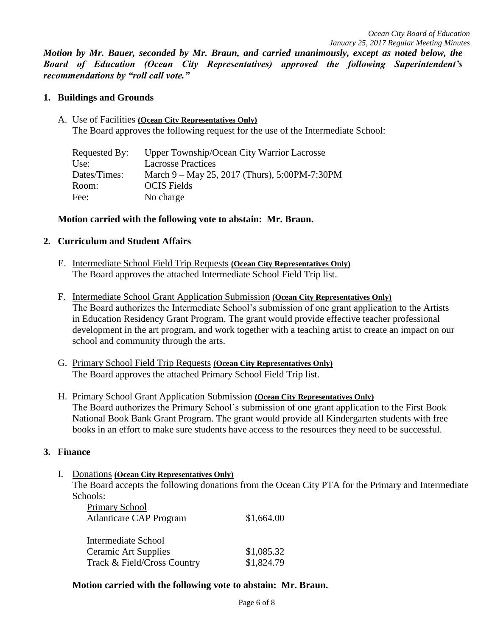*Motion by Mr. Bauer, seconded by Mr. Braun, and carried unanimously, except as noted below, the Board of Education (Ocean City Representatives) approved the following Superintendent's recommendations by "roll call vote."* 

## **1. Buildings and Grounds**

A. Use of Facilities **(Ocean City Representatives Only)** The Board approves the following request for the use of the Intermediate School:

| Upper Township/Ocean City Warrior Lacrosse    |
|-----------------------------------------------|
| <b>Lacrosse Practices</b>                     |
| March 9 – May 25, 2017 (Thurs), 5:00PM-7:30PM |
| <b>OCIS</b> Fields                            |
| No charge                                     |
|                                               |

#### **Motion carried with the following vote to abstain: Mr. Braun.**

#### **2. Curriculum and Student Affairs**

- E. Intermediate School Field Trip Requests **(Ocean City Representatives Only)** The Board approves the attached Intermediate School Field Trip list.
- F. Intermediate School Grant Application Submission **(Ocean City Representatives Only)** The Board authorizes the Intermediate School's submission of one grant application to the Artists in Education Residency Grant Program. The grant would provide effective teacher professional development in the art program, and work together with a teaching artist to create an impact on our school and community through the arts.
- G. Primary School Field Trip Requests **(Ocean City Representatives Only)** The Board approves the attached Primary School Field Trip list.
- H. Primary School Grant Application Submission **(Ocean City Representatives Only)** The Board authorizes the Primary School's submission of one grant application to the First Book National Book Bank Grant Program. The grant would provide all Kindergarten students with free books in an effort to make sure students have access to the resources they need to be successful.

#### **3. Finance**

I. Donations **(Ocean City Representatives Only)**

The Board accepts the following donations from the Ocean City PTA for the Primary and Intermediate Schools:

| Primary School                 |            |
|--------------------------------|------------|
| <b>Atlanticare CAP Program</b> | \$1,664.00 |
| Intermediate School            |            |
| <b>Ceramic Art Supplies</b>    | \$1,085.32 |
| Track & Field/Cross Country    | \$1,824.79 |

## **Motion carried with the following vote to abstain: Mr. Braun.**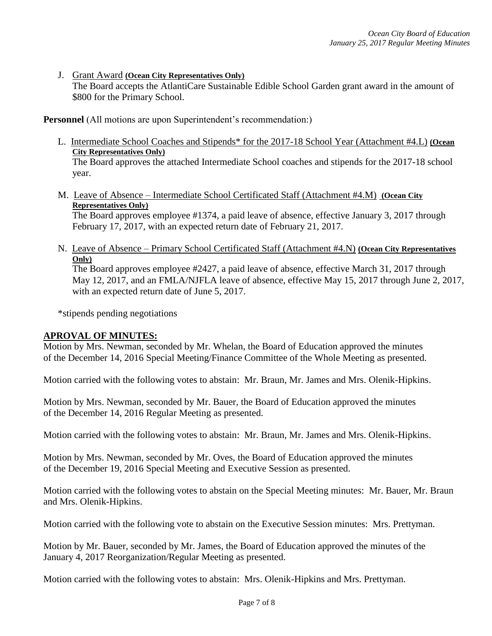J. Grant Award **(Ocean City Representatives Only)**

The Board accepts the AtlantiCare Sustainable Edible School Garden grant award in the amount of \$800 for the Primary School.

**Personnel** (All motions are upon Superintendent's recommendation:)

- L. Intermediate School Coaches and Stipends\* for the 2017-18 School Year (Attachment #4.L) **(Ocean City Representatives Only)** The Board approves the attached Intermediate School coaches and stipends for the 2017-18 school year.
- M. Leave of Absence Intermediate School Certificated Staff (Attachment #4.M) **(Ocean City Representatives Only)**

The Board approves employee #1374, a paid leave of absence, effective January 3, 2017 through February 17, 2017, with an expected return date of February 21, 2017.

N. Leave of Absence – Primary School Certificated Staff (Attachment #4.N) **(Ocean City Representatives Only)**

The Board approves employee #2427, a paid leave of absence, effective March 31, 2017 through May 12, 2017, and an FMLA/NJFLA leave of absence, effective May 15, 2017 through June 2, 2017, with an expected return date of June 5, 2017.

\*stipends pending negotiations

## **APROVAL OF MINUTES:**

Motion by Mrs. Newman, seconded by Mr. Whelan, the Board of Education approved the minutes of the December 14, 2016 Special Meeting/Finance Committee of the Whole Meeting as presented.

Motion carried with the following votes to abstain: Mr. Braun, Mr. James and Mrs. Olenik-Hipkins.

Motion by Mrs. Newman, seconded by Mr. Bauer, the Board of Education approved the minutes of the December 14, 2016 Regular Meeting as presented.

Motion carried with the following votes to abstain: Mr. Braun, Mr. James and Mrs. Olenik-Hipkins.

Motion by Mrs. Newman, seconded by Mr. Oves, the Board of Education approved the minutes of the December 19, 2016 Special Meeting and Executive Session as presented.

Motion carried with the following votes to abstain on the Special Meeting minutes: Mr. Bauer, Mr. Braun and Mrs. Olenik-Hipkins.

Motion carried with the following vote to abstain on the Executive Session minutes: Mrs. Prettyman.

Motion by Mr. Bauer, seconded by Mr. James, the Board of Education approved the minutes of the January 4, 2017 Reorganization/Regular Meeting as presented.

Motion carried with the following votes to abstain: Mrs. Olenik-Hipkins and Mrs. Prettyman.